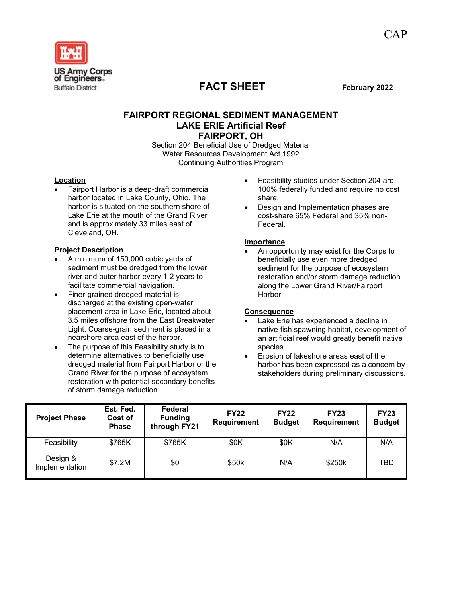

# **FACT SHEET** February 2022

## **FAIRPORT REGIONAL SEDIMENT MANAGEMENT LAKE ERIE Artificial Reef FAIRPORT, OH**

Section 204 Beneficial Use of Dredged Material Water Resources Development Act 1992 Continuing Authorities Program

## **Location**

• Fairport Harbor is a deep-draft commercial harbor located in Lake County, Ohio. The harbor is situated on the southern shore of Lake Erie at the mouth of the Grand River and is approximately 33 miles east of Cleveland, OH.

#### **Project Description**

- A minimum of 150,000 cubic yards of sediment must be dredged from the lower river and outer harbor every 1-2 years to facilitate commercial navigation.
- Finer-grained dredged material is discharged at the existing open-water placement area in Lake Erie, located about 3.5 miles offshore from the East Breakwater Light. Coarse-grain sediment is placed in a nearshore area east of the harbor.
- The purpose of this Feasibility study is to determine alternatives to beneficially use dredged material from Fairport Harbor or the Grand River for the purpose of ecosystem restoration with potential secondary benefits of storm damage reduction.
- Feasibility studies under Section 204 are 100% federally funded and require no cost share.
- Design and Implementation phases are cost-share 65% Federal and 35% non-Federal.

#### **Importance**

• An opportunity may exist for the Corps to beneficially use even more dredged sediment for the purpose of ecosystem restoration and/or storm damage reduction along the Lower Grand River/Fairport Harbor.

#### **Consequence**

- Lake Erie has experienced a decline in native fish spawning habitat, development of an artificial reef would greatly benefit native species.
- Erosion of lakeshore areas east of the harbor has been expressed as a concern by stakeholders during preliminary discussions.

| <b>Project Phase</b>       | Est. Fed.<br>Cost of<br><b>Phase</b> | Federal<br><b>Funding</b><br>through FY21 | <b>FY22</b><br><b>Requirement</b> | <b>FY22</b><br><b>Budget</b> | <b>FY23</b><br><b>Requirement</b> | <b>FY23</b><br><b>Budget</b> |
|----------------------------|--------------------------------------|-------------------------------------------|-----------------------------------|------------------------------|-----------------------------------|------------------------------|
| Feasibility                | \$765K                               | \$765K                                    | \$0K                              | \$0K                         | N/A                               | N/A                          |
| Design &<br>Implementation | \$7.2M                               | \$0                                       | \$50k                             | N/A                          | \$250k                            | TBD                          |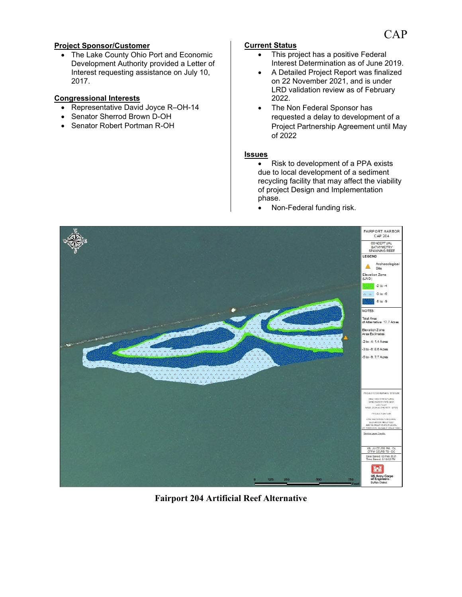## **Project Sponsor/Customer**

• The Lake County Ohio Port and Economic Development Authority provided a Letter of Interest requesting assistance on July 10, 2017.

#### **Congressional Interests**

- Representative David Joyce R–OH-14
- Senator Sherrod Brown D-OH
- Senator Robert Portman R-OH

## **Current Status**

- This project has a positive Federal Interest Determination as of June 2019.
- A Detailed Project Report was finalized on 22 November 2021, and is under LRD validation review as of February 2022.
- The Non Federal Sponsor has requested a delay to development of a Project Partnership Agreement until May of 2022

#### **Issues**

- Risk to development of a PPA exists due to local development of a sediment recycling facility that may affect the viability of project Design and Implementation phase.
- Non-Federal funding risk.



**Fairport 204 Artificial Reef Alternative**